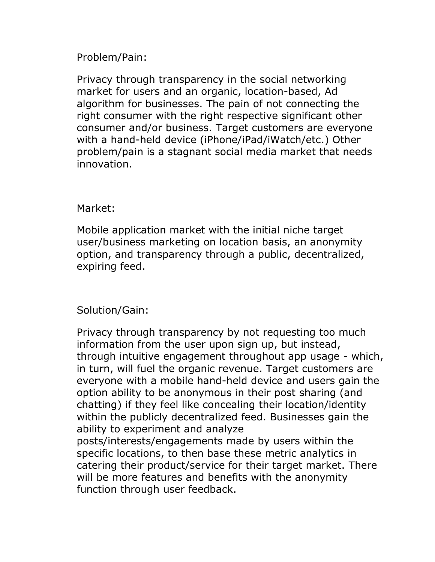## Problem/Pain:

Privacy through transparency in the social networking market for users and an organic, location-based, Ad algorithm for businesses. The pain of not connecting the right consumer with the right respective significant other consumer and/or business. Target customers are everyone with a hand-held device (iPhone/iPad/iWatch/etc.) Other problem/pain is a stagnant social media market that needs innovation.

## Market:

Mobile application market with the initial niche target user/business marketing on location basis, an anonymity option, and transparency through a public, decentralized, expiring feed.

## Solution/Gain:

Privacy through transparency by not requesting too much information from the user upon sign up, but instead, through intuitive engagement throughout app usage - which, in turn, will fuel the organic revenue. Target customers are everyone with a mobile hand-held device and users gain the option ability to be anonymous in their post sharing (and chatting) if they feel like concealing their location/identity within the publicly decentralized feed. Businesses gain the ability to experiment and analyze posts/interests/engagements made by users within the specific locations, to then base these metric analytics in catering their product/service for their target market. There will be more features and benefits with the anonymity function through user feedback.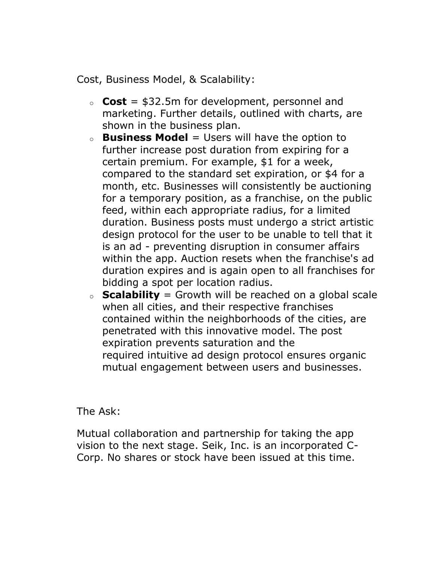Cost, Business Model, & Scalability:

- o **Cost** = \$32.5m for development, personnel and marketing. Further details, outlined with charts, are shown in the business plan.
- o **Business Model** = Users will have the option to further increase post duration from expiring for a certain premium. For example, \$1 for a week, compared to the standard set expiration, or \$4 for a month, etc. Businesses will consistently be auctioning for a temporary position, as a franchise, on the public feed, within each appropriate radius, for a limited duration. Business posts must undergo a strict artistic design protocol for the user to be unable to tell that it is an ad - preventing disruption in consumer affairs within the app. Auction resets when the franchise's ad duration expires and is again open to all franchises for bidding a spot per location radius.
- o **Scalability** = Growth will be reached on a global scale when all cities, and their respective franchises contained within the neighborhoods of the cities, are penetrated with this innovative model. The post expiration prevents saturation and the required intuitive ad design protocol ensures organic mutual engagement between users and businesses.

The Ask:

Mutual collaboration and partnership for taking the app vision to the next stage. Seik, Inc. is an incorporated C-Corp. No shares or stock have been issued at this time.